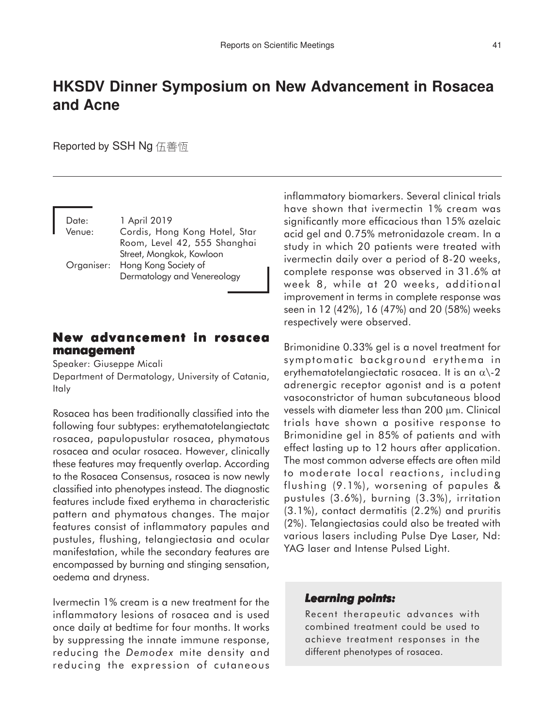# **HKSDV Dinner Symposium on New Advancement in Rosacea and Acne**

Reported by SSH Ng 伍善恆

| Date:      | 1 April 2019                  |
|------------|-------------------------------|
| Venue:     | Cordis, Hong Kong Hotel, Star |
|            | Room, Level 42, 555 Shanghai  |
|            | Street, Mongkok, Kowloon      |
| Organiser: | Hong Kong Society of          |
|            | Dermatology and Venereology   |

## **New advancement in rosacea management**

Speaker: Giuseppe Micali

Department of Dermatology, University of Catania, Italy

Rosacea has been traditionally classified into the following four subtypes: erythematotelangiectatc rosacea, papulopustular rosacea, phymatous rosacea and ocular rosacea. However, clinically these features may frequently overlap. According to the Rosacea Consensus, rosacea is now newly classified into phenotypes instead. The diagnostic features include fixed erythema in characteristic pattern and phymatous changes. The major features consist of inflammatory papules and pustules, flushing, telangiectasia and ocular manifestation, while the secondary features are encompassed by burning and stinging sensation, oedema and dryness.

Ivermectin 1% cream is a new treatment for the inflammatory lesions of rosacea and is used once daily at bedtime for four months. It works by suppressing the innate immune response, reducing the *Demodex* mite density and reducing the expression of cutaneous inflammatory biomarkers. Several clinical trials have shown that ivermectin 1% cream was significantly more efficacious than 15% azelaic acid gel and 0.75% metronidazole cream. In a study in which 20 patients were treated with ivermectin daily over a period of 8-20 weeks, complete response was observed in 31.6% at week 8, while at 20 weeks, additional improvement in terms in complete response was seen in 12 (42%), 16 (47%) and 20 (58%) weeks respectively were observed.

Brimonidine 0.33% gel is a novel treatment for symptomatic background erythema in erythematotelangiectatic rosacea. It is an  $\alpha$ )-2 adrenergic receptor agonist and is a potent vasoconstrictor of human subcutaneous blood vessels with diameter less than 200 µm. Clinical trials have shown a positive response to Brimonidine gel in 85% of patients and with effect lasting up to 12 hours after application. The most common adverse effects are often mild to moderate local reactions, including flushing (9.1%), worsening of papules & pustules (3.6%), burning (3.3%), irritation (3.1%), contact dermatitis (2.2%) and pruritis (2%). Telangiectasias could also be treated with various lasers including Pulse Dye Laser, Nd: YAG laser and Intense Pulsed Light.

#### *Learning points:*

Recent therapeutic advances with combined treatment could be used to achieve treatment responses in the different phenotypes of rosacea.